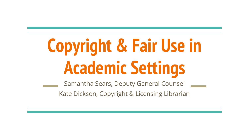# **Copyright & Fair Use in Academic Settings**

Samantha Sears, Deputy General Counsel

Kate Dickson, Copyright & Licensing Librarian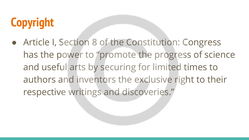# **Copyright**

● Article I, Section 8 of the Constitution: Congress has the power to "promote the progress of science and useful arts by securing for limited times to authors and inventors the exclusive right to their respective writings and discoveries."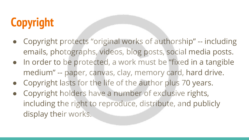# **Copyright**

- Copyright protects "original works of authorship" -- including emails, photographs, videos, blog posts, social media posts.
- In order to be protected, a work must be "fixed in a tangible medium" -- paper, canvas, clay, memory card, hard drive.
- Copyright lasts for the life of the author plus 70 years.
- Copyright holders have a number of exclusive rights, including the right to reproduce, distribute, and publicly display their works.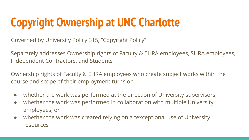# **Copyright Ownership at UNC Charlotte**

Governed by University Policy 315, "Copyright Policy"

Separately addresses Ownership rights of Faculty & EHRA employees, SHRA employees, Independent Contractors, and Students

Ownership rights of Faculty & EHRA employees who create subject works within the course and scope of their employment turns on

- whether the work was performed at the direction of University supervisors,
- whether the work was performed in collaboration with multiple University employees, or
- whether the work was created relying on a "exceptional use of University resources"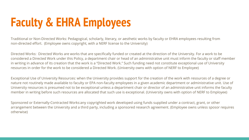# **Faculty & EHRA Employees**

Traditional or Non-Directed Works: Pedagogical, scholarly, literary, or aesthetic works by faculty or EHRA employees resulting from non-directed effort. (Employee owns copyright, with a NERF license to the University)

Directed Works: Directed Works are works that are specifically funded or created at the direction of the University. For a work to be considered a Directed Work under this Policy, a department chair or head of an administrative unit must inform the faculty or staff member in writing in advance of its creation that the work is a "Directed Work." Such funding need not constitute exceptional use of University resources in order for the work to be considered a Directed Work. (University owns with option of NERF to Employee)

Exceptional Use of University Resources: when the University provides support for the creation of the work with resources of a degree or nature not routinely made available to faculty or EPA non-faculty employees in a given academic department or administrative unit. Use of University resources is presumed not to be exceptional unless a department chair or director of an administrative unit informs the faculty member in writing before such resources are allocated that such use is exceptional. (University owns with option of NERF to Employee)

Sponsored or Externally-Contracted Works:any copyrighted work developed using funds supplied under a contract, grant, or other arrangement between the University and a third party, including a sponsored research agreement. (Employee owns unless sposor requires otherwise)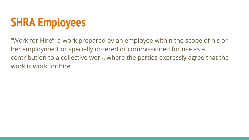## **SHRA Employees**

"Work for Hire": a work prepared by an employee within the scope of his or her employment or specially ordered or commissioned for use as a contribution to a collective work, where the parties expressly agree that the work is work for hire.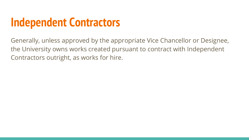### **Independent Contractors**

Generally, unless approved by the appropriate Vice Chancellor or Designee, the University owns works created pursuant to contract with Independent Contractors outright, as works for hire.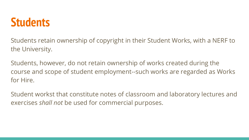### **Students**

Students retain ownership of copyright in their Student Works, with a NERF to the University.

Students, however, do not retain ownership of works created during the course and scope of student employment--such works are regarded as Works for Hire.

Student workst that constitute notes of classroom and laboratory lectures and exercises *shall not* be used for commercial purposes.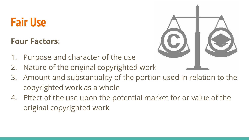### **Fair Use**

**Four Factors**:

- 1. Purpose and character of the use
- 2. Nature of the original copyrighted work
- 3. Amount and substantiality of the portion used in relation to the copyrighted work as a whole
- 4. Effect of the use upon the potential market for or value of the original copyrighted work

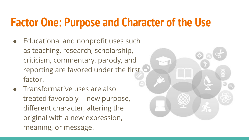### **Factor One: Purpose and Character of the Use**

- Educational and nonprofit uses such as teaching, research, scholarship, criticism, commentary, parody, and reporting are favored under the first factor.
- Transformative uses are also treated favorably -- new purpose, different character, altering the original with a new expression, meaning, or message.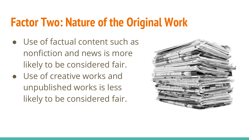### **Factor Two: Nature of the Original Work**

- Use of factual content such as nonfiction and news is more likely to be considered fair.
- Use of creative works and unpublished works is less likely to be considered fair.

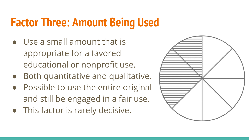### **Factor Three: Amount Being Used**

- Use a small amount that is appropriate for a favored educational or nonprofit use.
- Both quantitative and qualitative.
- Possible to use the entire original and still be engaged in a fair use.
- This factor is rarely decisive.

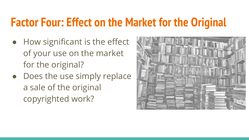### **Factor Four: Effect on the Market for the Original**

- How significant is the effect of your use on the market for the original?
- Does the use simply replace a sale of the original copyrighted work?

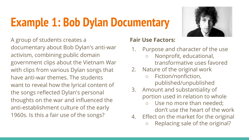# **Example 1: Bob Dylan Documentary**



A group of students creates a documentary about Bob Dylan's anti-war activism, combining public domain government clips about the Vietnam War with clips from various Dylan songs that have anti-war themes. The students want to reveal how the lyrical content of the songs reflected Dylan's personal thoughts on the war and influenced the anti-establishment culture of the early 1960s. Is this a fair use of the songs?

- 1. Purpose and character of the use
	- Nonprofit, educational, transformative uses favored
- 2. Nature of the original work
	- Fiction/nonfiction, published/unpublished
- 3. Amount and substantiality of portion used in relation to whole
	- Use no more than needed; don't use the heart of the work
- 4. Effect on the market for the original
	- Replacing sale of the original?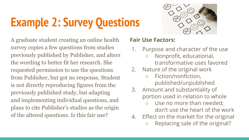# **Example 2: Survey Questions**

A graduate student creating an online health survey copies a few questions from studies previously published by Publisher, and alters the wording to better fit her research. She requested permission to use the questions from Publisher, but got no response. Student is not directly reproducing figures from the previously published study, but adapting and implementing individual questions, and plans to cite Publisher's studies as the origin of the altered questions. Is this fair use?

- 1. Purpose and character of the use
	- Nonprofit, educational, transformative uses favored
- 2. Nature of the original work
	- Fiction/nonfiction, published/unpublished
- 3. Amount and substantiality of portion used in relation to whole
	- Use no more than needed; don't use the heart of the work
- 4. Effect on the market for the original
	- Replacing sale of the original?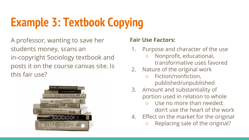# **Example 3: Textbook Copying**

A professor, wanting to save her students money, scans an in-copyright Sociology textbook and posts it on the course canvas site. Is this fair use?



- 1. Purpose and character of the use
	- Nonprofit, educational, transformative uses favored
- 2. Nature of the original work
	- Fiction/nonfiction, published/unpublished
- 3. Amount and substantiality of portion used in relation to whole
	- Use no more than needed; don't use the heart of the work
- 4. Effect on the market for the original
	- Replacing sale of the original?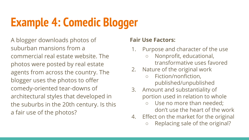## **Example 4: Comedic Blogger**

A blogger downloads photos of suburban mansions from a commercial real estate website. The photos were posted by real estate agents from across the country. The blogger uses the photos to offer comedy-oriented tear-downs of architectural styles that developed in the suburbs in the 20th century. Is this a fair use of the photos?

- 1. Purpose and character of the use
	- Nonprofit, educational, transformative uses favored
- 2. Nature of the original work
	- Fiction/nonfiction, published/unpublished
- 3. Amount and substantiality of portion used in relation to whole
	- Use no more than needed; don't use the heart of the work
- 4. Effect on the market for the original
	- Replacing sale of the original?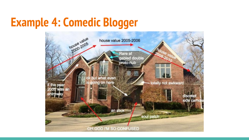### **Example 4: Comedic Blogger**

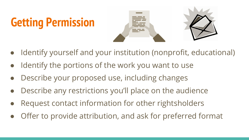# **Getting Permission**



- Identify yourself and your institution (nonprofit, educational)
- Identify the portions of the work you want to use
- Describe your proposed use, including changes
- Describe any restrictions you'll place on the audience
- Request contact information for other rightsholders
- Offer to provide attribution, and ask for preferred format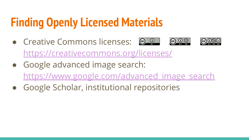## **Finding Openly Licensed Materials**

- $\bullet$  Creative Commons licenses:  $\circledast$   $\circ$ <https://creativecommons.org/licenses/>
- Google advanced image search: https://www.google.com/advanced image search
- Google Scholar, institutional repositories